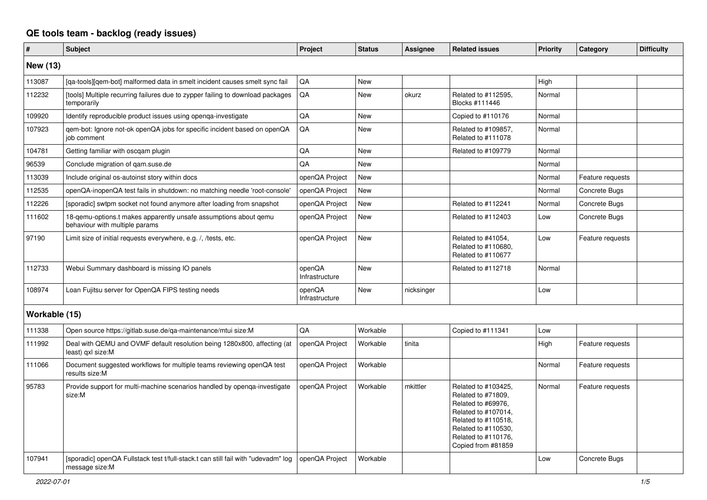## **QE tools team - backlog (ready issues)**

| $\vert$ #     | <b>Subject</b>                                                                                      | Project                  | <b>Status</b> | <b>Assignee</b> | <b>Related issues</b>                                                                                                                                                             | <b>Priority</b> | Category         | <b>Difficulty</b> |
|---------------|-----------------------------------------------------------------------------------------------------|--------------------------|---------------|-----------------|-----------------------------------------------------------------------------------------------------------------------------------------------------------------------------------|-----------------|------------------|-------------------|
| New (13)      |                                                                                                     |                          |               |                 |                                                                                                                                                                                   |                 |                  |                   |
| 113087        | [ga-tools][gem-bot] malformed data in smelt incident causes smelt sync fail                         | QA                       | <b>New</b>    |                 |                                                                                                                                                                                   | High            |                  |                   |
| 112232        | [tools] Multiple recurring failures due to zypper failing to download packages<br>temporarily       | QA                       | <b>New</b>    | okurz           | Related to #112595,<br>Blocks #111446                                                                                                                                             | Normal          |                  |                   |
| 109920        | Identify reproducible product issues using openqa-investigate                                       | QA                       | <b>New</b>    |                 | Copied to #110176                                                                                                                                                                 | Normal          |                  |                   |
| 107923        | qem-bot: Ignore not-ok openQA jobs for specific incident based on openQA<br>job comment             | QA                       | New           |                 | Related to #109857,<br>Related to #111078                                                                                                                                         | Normal          |                  |                   |
| 104781        | Getting familiar with oscgam plugin                                                                 | QA                       | <b>New</b>    |                 | Related to #109779                                                                                                                                                                | Normal          |                  |                   |
| 96539         | Conclude migration of gam.suse.de                                                                   | QA                       | <b>New</b>    |                 |                                                                                                                                                                                   | Normal          |                  |                   |
| 113039        | Include original os-autoinst story within docs                                                      | openQA Project           | <b>New</b>    |                 |                                                                                                                                                                                   | Normal          | Feature requests |                   |
| 112535        | openQA-inopenQA test fails in shutdown: no matching needle 'root-console'                           | openQA Project           | New           |                 |                                                                                                                                                                                   | Normal          | Concrete Bugs    |                   |
| 112226        | [sporadic] swtpm socket not found anymore after loading from snapshot                               | openQA Project           | <b>New</b>    |                 | Related to #112241                                                                                                                                                                | Normal          | Concrete Bugs    |                   |
| 111602        | 18-gemu-options.t makes apparently unsafe assumptions about gemu<br>behaviour with multiple params  | openQA Project           | <b>New</b>    |                 | Related to #112403                                                                                                                                                                | Low             | Concrete Bugs    |                   |
| 97190         | Limit size of initial requests everywhere, e.g. /, /tests, etc.                                     | openQA Project           | <b>New</b>    |                 | Related to #41054,<br>Related to #110680,<br>Related to #110677                                                                                                                   | Low             | Feature requests |                   |
| 112733        | Webui Summary dashboard is missing IO panels                                                        | openQA<br>Infrastructure | <b>New</b>    |                 | Related to #112718                                                                                                                                                                | Normal          |                  |                   |
| 108974        | Loan Fujitsu server for OpenQA FIPS testing needs                                                   | openQA<br>Infrastructure | <b>New</b>    | nicksinger      |                                                                                                                                                                                   | Low             |                  |                   |
| Workable (15) |                                                                                                     |                          |               |                 |                                                                                                                                                                                   |                 |                  |                   |
| 111338        | Open source https://gitlab.suse.de/ga-maintenance/mtui size:M                                       | QA                       | Workable      |                 | Copied to #111341                                                                                                                                                                 | Low             |                  |                   |
| 111992        | Deal with QEMU and OVMF default resolution being 1280x800, affecting (at<br>least) gxl size:M       | openQA Project           | Workable      | tinita          |                                                                                                                                                                                   | High            | Feature requests |                   |
| 111066        | Document suggested workflows for multiple teams reviewing openQA test<br>results size:M             | openQA Project           | Workable      |                 |                                                                                                                                                                                   | Normal          | Feature requests |                   |
| 95783         | Provide support for multi-machine scenarios handled by openga-investigate<br>size:M                 | openQA Project           | Workable      | mkittler        | Related to #103425,<br>Related to #71809,<br>Related to #69976,<br>Related to #107014,<br>Related to #110518,<br>Related to #110530,<br>Related to #110176,<br>Copied from #81859 | Normal          | Feature requests |                   |
| 107941        | [sporadic] openQA Fullstack test t/full-stack.t can still fail with "udevadm" log<br>message size:M | openQA Project           | Workable      |                 |                                                                                                                                                                                   | Low             | Concrete Bugs    |                   |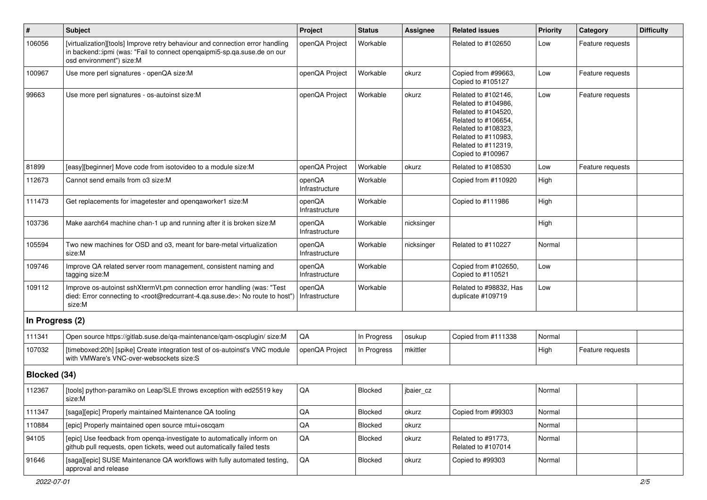| $\sharp$        | <b>Subject</b>                                                                                                                                                                                                     | Project                  | <b>Status</b>  | <b>Assignee</b> | <b>Related issues</b>                                                                                                                                                              | <b>Priority</b> | Category         | <b>Difficulty</b> |
|-----------------|--------------------------------------------------------------------------------------------------------------------------------------------------------------------------------------------------------------------|--------------------------|----------------|-----------------|------------------------------------------------------------------------------------------------------------------------------------------------------------------------------------|-----------------|------------------|-------------------|
| 106056          | [virtualization][tools] Improve retry behaviour and connection error handling<br>in backend::ipmi (was: "Fail to connect opengaipmi5-sp.qa.suse.de on our<br>osd environment") size:M                              | openQA Project           | Workable       |                 | Related to #102650                                                                                                                                                                 | Low             | Feature requests |                   |
| 100967          | Use more perl signatures - openQA size:M                                                                                                                                                                           | openQA Project           | Workable       | okurz           | Copied from #99663,<br>Copied to #105127                                                                                                                                           | Low             | Feature requests |                   |
| 99663           | Use more perl signatures - os-autoinst size:M                                                                                                                                                                      | openQA Project           | Workable       | okurz           | Related to #102146,<br>Related to #104986,<br>Related to #104520,<br>Related to #106654,<br>Related to #108323,<br>Related to #110983,<br>Related to #112319,<br>Copied to #100967 | Low             | Feature requests |                   |
| 81899           | [easy][beginner] Move code from isotovideo to a module size:M                                                                                                                                                      | openQA Project           | Workable       | okurz           | Related to #108530                                                                                                                                                                 | Low             | Feature requests |                   |
| 112673          | Cannot send emails from o3 size:M                                                                                                                                                                                  | openQA<br>Infrastructure | Workable       |                 | Copied from #110920                                                                                                                                                                | High            |                  |                   |
| 111473          | Get replacements for imagetester and openqaworker1 size:M                                                                                                                                                          | openQA<br>Infrastructure | Workable       |                 | Copied to #111986                                                                                                                                                                  | High            |                  |                   |
| 103736          | Make aarch64 machine chan-1 up and running after it is broken size:M                                                                                                                                               | openQA<br>Infrastructure | Workable       | nicksinger      |                                                                                                                                                                                    | High            |                  |                   |
| 105594          | Two new machines for OSD and o3, meant for bare-metal virtualization<br>size:M                                                                                                                                     | openQA<br>Infrastructure | Workable       | nicksinger      | Related to #110227                                                                                                                                                                 | Normal          |                  |                   |
| 109746          | Improve QA related server room management, consistent naming and<br>tagging size:M                                                                                                                                 | openQA<br>Infrastructure | Workable       |                 | Copied from #102650,<br>Copied to #110521                                                                                                                                          | Low             |                  |                   |
| 109112          | Improve os-autoinst sshXtermVt.pm connection error handling (was: "Test<br>died: Error connecting to <root@redcurrant-4.ga.suse.de>: No route to host")   Infrastructure<br/>size:M</root@redcurrant-4.ga.suse.de> | openQA                   | Workable       |                 | Related to #98832, Has<br>duplicate #109719                                                                                                                                        | Low             |                  |                   |
| In Progress (2) |                                                                                                                                                                                                                    |                          |                |                 |                                                                                                                                                                                    |                 |                  |                   |
| 111341          | Open source https://gitlab.suse.de/qa-maintenance/qam-oscplugin/ size:M                                                                                                                                            | QA                       | In Progress    | osukup          | Copied from #111338                                                                                                                                                                | Normal          |                  |                   |
| 107032          | [timeboxed:20h] [spike] Create integration test of os-autoinst's VNC module<br>with VMWare's VNC-over-websockets size:S                                                                                            | openQA Project           | In Progress    | mkittler        |                                                                                                                                                                                    | High            | Feature requests |                   |
| Blocked (34)    |                                                                                                                                                                                                                    |                          |                |                 |                                                                                                                                                                                    |                 |                  |                   |
| 112367          | [tools] python-paramiko on Leap/SLE throws exception with ed25519 key<br>size:M                                                                                                                                    | $\mathsf{QA}$            | <b>Blocked</b> | jbaier_cz       |                                                                                                                                                                                    | Normal          |                  |                   |
| 111347          | [saga][epic] Properly maintained Maintenance QA tooling                                                                                                                                                            | QA                       | Blocked        | okurz           | Copied from #99303                                                                                                                                                                 | Normal          |                  |                   |
| 110884          | [epic] Properly maintained open source mtui+oscgam                                                                                                                                                                 | $\mathsf{QA}$            | Blocked        | okurz           |                                                                                                                                                                                    | Normal          |                  |                   |
| 94105           | [epic] Use feedback from openga-investigate to automatically inform on<br>github pull requests, open tickets, weed out automatically failed tests                                                                  | $\mathsf{QA}$            | Blocked        | okurz           | Related to #91773,<br>Related to #107014                                                                                                                                           | Normal          |                  |                   |
| 91646           | [saga][epic] SUSE Maintenance QA workflows with fully automated testing,<br>approval and release                                                                                                                   | $\mathsf{QA}$            | Blocked        | okurz           | Copied to #99303                                                                                                                                                                   | Normal          |                  |                   |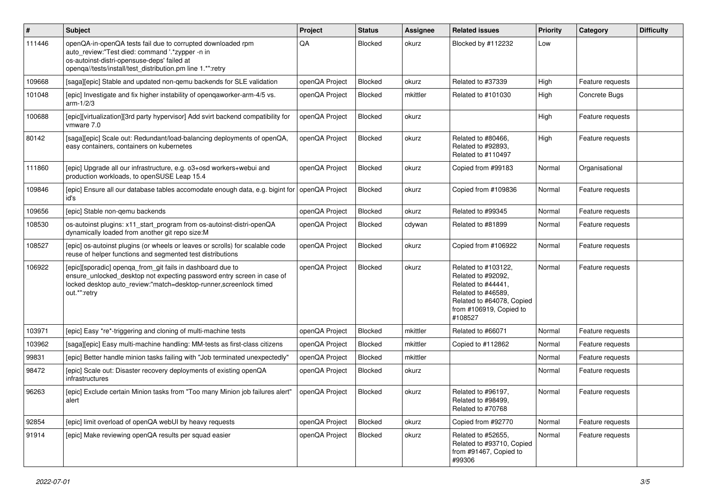| $\sharp$ | <b>Subject</b>                                                                                                                                                                                                              | Project        | <b>Status</b> | <b>Assignee</b> | <b>Related issues</b>                                                                                                                                    | Priority | Category         | <b>Difficulty</b> |
|----------|-----------------------------------------------------------------------------------------------------------------------------------------------------------------------------------------------------------------------------|----------------|---------------|-----------------|----------------------------------------------------------------------------------------------------------------------------------------------------------|----------|------------------|-------------------|
| 111446   | openQA-in-openQA tests fail due to corrupted downloaded rpm<br>auto_review:"Test died: command '.*zypper -n in<br>os-autoinst-distri-opensuse-deps' failed at<br>openqa//tests/install/test_distribution.pm line 1.*":retry | QA             | Blocked       | okurz           | Blocked by #112232                                                                                                                                       | Low      |                  |                   |
| 109668   | [saga][epic] Stable and updated non-gemu backends for SLE validation                                                                                                                                                        | openQA Project | Blocked       | okurz           | Related to #37339                                                                                                                                        | High     | Feature requests |                   |
| 101048   | [epic] Investigate and fix higher instability of opengaworker-arm-4/5 vs.<br>arm- $1/2/3$                                                                                                                                   | openQA Project | Blocked       | mkittler        | Related to #101030                                                                                                                                       | High     | Concrete Bugs    |                   |
| 100688   | [epic][virtualization][3rd party hypervisor] Add svirt backend compatibility for<br>vmware 7.0                                                                                                                              | openQA Project | Blocked       | okurz           |                                                                                                                                                          | High     | Feature requests |                   |
| 80142    | [saga][epic] Scale out: Redundant/load-balancing deployments of openQA,<br>easy containers, containers on kubernetes                                                                                                        | openQA Project | Blocked       | okurz           | Related to #80466,<br>Related to #92893.<br>Related to #110497                                                                                           | High     | Feature requests |                   |
| 111860   | [epic] Upgrade all our infrastructure, e.g. o3+osd workers+webui and<br>production workloads, to openSUSE Leap 15.4                                                                                                         | openQA Project | Blocked       | okurz           | Copied from #99183                                                                                                                                       | Normal   | Organisational   |                   |
| 109846   | [epic] Ensure all our database tables accomodate enough data, e.g. bigint for<br>id's                                                                                                                                       | openQA Project | Blocked       | okurz           | Copied from #109836                                                                                                                                      | Normal   | Feature requests |                   |
| 109656   | [epic] Stable non-gemu backends                                                                                                                                                                                             | openQA Project | Blocked       | okurz           | Related to #99345                                                                                                                                        | Normal   | Feature requests |                   |
| 108530   | os-autoinst plugins: x11_start_program from os-autoinst-distri-openQA<br>dynamically loaded from another git repo size:M                                                                                                    | openQA Project | Blocked       | cdywan          | Related to #81899                                                                                                                                        | Normal   | Feature requests |                   |
| 108527   | [epic] os-autoinst plugins (or wheels or leaves or scrolls) for scalable code<br>reuse of helper functions and segmented test distributions                                                                                 | openQA Project | Blocked       | okurz           | Copied from #106922                                                                                                                                      | Normal   | Feature requests |                   |
| 106922   | [epic][sporadic] openga_from_git fails in dashboard due to<br>ensure_unlocked_desktop not expecting password entry screen in case of<br>locked desktop auto_review:"match=desktop-runner,screenlock timed<br>out.*":retry   | openQA Project | Blocked       | okurz           | Related to #103122,<br>Related to #92092,<br>Related to #44441,<br>Related to #46589,<br>Related to #64078, Copied<br>from #106919, Copied to<br>#108527 | Normal   | Feature requests |                   |
| 103971   | [epic] Easy *re*-triggering and cloning of multi-machine tests                                                                                                                                                              | openQA Project | Blocked       | mkittler        | Related to #66071                                                                                                                                        | Normal   | Feature requests |                   |
| 103962   | [saga][epic] Easy multi-machine handling: MM-tests as first-class citizens                                                                                                                                                  | openQA Project | Blocked       | mkittler        | Copied to #112862                                                                                                                                        | Normal   | Feature requests |                   |
| 99831    | [epic] Better handle minion tasks failing with "Job terminated unexpectedly"                                                                                                                                                | openQA Project | Blocked       | mkittler        |                                                                                                                                                          | Normal   | Feature requests |                   |
| 98472    | [epic] Scale out: Disaster recovery deployments of existing openQA<br>infrastructures                                                                                                                                       | openQA Project | Blocked       | okurz           |                                                                                                                                                          | Normal   | Feature requests |                   |
| 96263    | [epic] Exclude certain Minion tasks from "Too many Minion job failures alert"<br>aiert                                                                                                                                      | openQA Project | Blocked       | okurz           | Related to #96197.<br>Related to #98499,<br>Related to #70768                                                                                            | Normal   | Feature requests |                   |
| 92854    | [epic] limit overload of openQA webUI by heavy requests                                                                                                                                                                     | openQA Project | Blocked       | okurz           | Copied from #92770                                                                                                                                       | Normal   | Feature requests |                   |
| 91914    | [epic] Make reviewing openQA results per squad easier                                                                                                                                                                       | openQA Project | Blocked       | okurz           | Related to #52655,<br>Related to #93710, Copied<br>from #91467, Copied to<br>#99306                                                                      | Normal   | Feature requests |                   |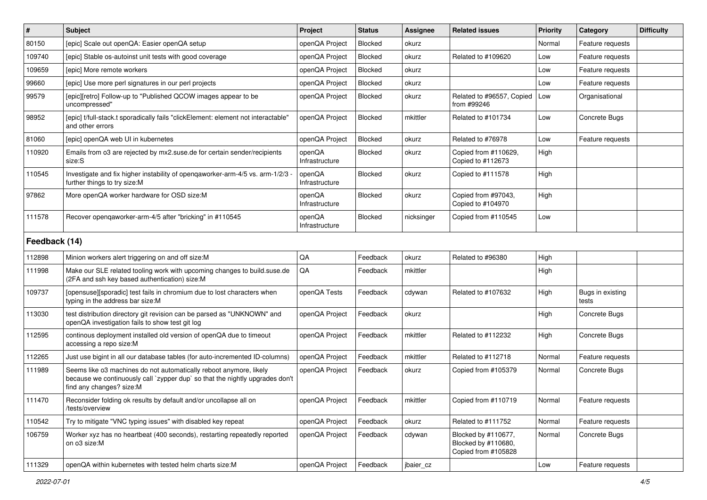| #             | Subject                                                                                                                                                                        | Project                  | <b>Status</b>  | <b>Assignee</b> | <b>Related issues</b>                                             | <b>Priority</b> | Category                  | <b>Difficulty</b> |
|---------------|--------------------------------------------------------------------------------------------------------------------------------------------------------------------------------|--------------------------|----------------|-----------------|-------------------------------------------------------------------|-----------------|---------------------------|-------------------|
| 80150         | [epic] Scale out openQA: Easier openQA setup                                                                                                                                   | openQA Project           | <b>Blocked</b> | okurz           |                                                                   | Normal          | Feature requests          |                   |
| 109740        | [epic] Stable os-autoinst unit tests with good coverage                                                                                                                        | openQA Project           | Blocked        | okurz           | Related to #109620                                                | Low             | Feature requests          |                   |
| 109659        | [epic] More remote workers                                                                                                                                                     | openQA Project           | Blocked        | okurz           |                                                                   | Low             | Feature requests          |                   |
| 99660         | [epic] Use more perl signatures in our perl projects                                                                                                                           | openQA Project           | Blocked        | okurz           |                                                                   | Low             | Feature requests          |                   |
| 99579         | [epic][retro] Follow-up to "Published QCOW images appear to be<br>uncompressed"                                                                                                | openQA Project           | Blocked        | okurz           | Related to #96557, Copied<br>from #99246                          | Low             | Organisational            |                   |
| 98952         | [epic] t/full-stack.t sporadically fails "clickElement: element not interactable'<br>and other errors                                                                          | openQA Project           | Blocked        | mkittler        | Related to #101734                                                | Low             | Concrete Bugs             |                   |
| 81060         | [epic] openQA web UI in kubernetes                                                                                                                                             | openQA Project           | Blocked        | okurz           | Related to #76978                                                 | Low             | Feature requests          |                   |
| 110920        | Emails from o3 are rejected by mx2.suse.de for certain sender/recipients<br>size:S                                                                                             | openQA<br>Infrastructure | <b>Blocked</b> | okurz           | Copied from #110629,<br>Copied to #112673                         | High            |                           |                   |
| 110545        | Investigate and fix higher instability of openqaworker-arm-4/5 vs. arm-1/2/3<br>further things to try size:M                                                                   | openQA<br>Infrastructure | Blocked        | okurz           | Copied to #111578                                                 | High            |                           |                   |
| 97862         | More openQA worker hardware for OSD size:M                                                                                                                                     | openQA<br>Infrastructure | Blocked        | okurz           | Copied from #97043.<br>Copied to #104970                          | High            |                           |                   |
| 111578        | Recover opengaworker-arm-4/5 after "bricking" in #110545                                                                                                                       | openQA<br>Infrastructure | Blocked        | nicksinger      | Copied from #110545                                               | Low             |                           |                   |
| Feedback (14) |                                                                                                                                                                                |                          |                |                 |                                                                   |                 |                           |                   |
| 112898        | Minion workers alert triggering on and off size:M                                                                                                                              | QA                       | Feedback       | okurz           | Related to #96380                                                 | High            |                           |                   |
| 111998        | Make our SLE related tooling work with upcoming changes to build suse de<br>(2FA and ssh key based authentication) size:M                                                      | QA                       | Feedback       | mkittler        |                                                                   | High            |                           |                   |
| 109737        | [opensuse][sporadic] test fails in chromium due to lost characters when<br>typing in the address bar size:M                                                                    | openQA Tests             | Feedback       | cdywan          | Related to #107632                                                | High            | Bugs in existing<br>tests |                   |
| 113030        | test distribution directory git revision can be parsed as "UNKNOWN" and<br>openQA investigation fails to show test git log                                                     | openQA Project           | Feedback       | okurz           |                                                                   | High            | Concrete Bugs             |                   |
| 112595        | continous deployment installed old version of openQA due to timeout<br>accessing a repo size:M                                                                                 | openQA Project           | Feedback       | mkittler        | Related to #112232                                                | High            | Concrete Bugs             |                   |
| 112265        | Just use bigint in all our database tables (for auto-incremented ID-columns)                                                                                                   | openQA Project           | Feedback       | mkittler        | Related to #112718                                                | Normal          | Feature requests          |                   |
| 111989        | Seems like o3 machines do not automatically reboot anymore, likely<br>because we continuously call `zypper dup` so that the nightly upgrades don't<br>find any changes? size:M | openQA Project           | Feedback       | okurz           | Copied from #105379                                               | Normal          | Concrete Bugs             |                   |
| 111470        | Reconsider folding ok results by default and/or uncollapse all on<br>/tests/overview                                                                                           | openQA Project           | Feedback       | mkittler        | Copied from #110719                                               | Normal          | Feature requests          |                   |
| 110542        | Try to mitigate "VNC typing issues" with disabled key repeat                                                                                                                   | openQA Project           | Feedback       | okurz           | Related to #111752                                                | Normal          | Feature requests          |                   |
| 106759        | Worker xyz has no heartbeat (400 seconds), restarting repeatedly reported<br>on o3 size:M                                                                                      | openQA Project           | Feedback       | cdywan          | Blocked by #110677,<br>Blocked by #110680,<br>Copied from #105828 | Normal          | Concrete Bugs             |                   |
| 111329        | openQA within kubernetes with tested helm charts size:M                                                                                                                        | openQA Project           | Feedback       | jbaier_cz       |                                                                   | Low             | Feature requests          |                   |